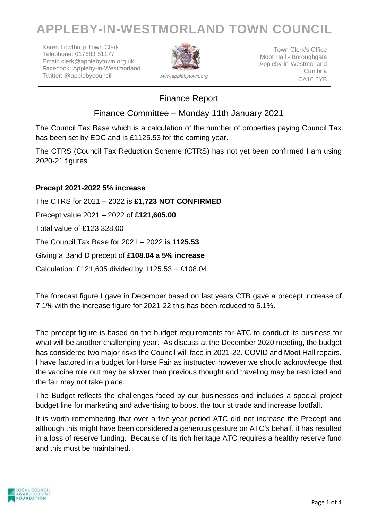# **APPLEBY-IN-WESTMORLAND TOWN COUNCIL**

Karen Lowthrop Town Clerk Telephone: 017683 51177 Email: clerk@applebytown.org.uk Facebook: Appleby-in-Westmorland Twitter: @applebycouncil *www.applebytown.org*



Town Clerk's Office Moot Hall - Boroughgate Appleby-in-Westmorland Cumbria CA16 6YB

### Finance Report

Finance Committee – Monday 11th January 2021

The Council Tax Base which is a calculation of the number of properties paying Council Tax has been set by EDC and is £1125.53 for the coming year.

The CTRS (Council Tax Reduction Scheme (CTRS) has not yet been confirmed I am using 2020-21 figures

#### **Precept 2021-2022 5% increase**

The CTRS for 2021 – 2022 is **£1,723 NOT CONFIRMED**  Precept value 2021 – 2022 of **£121,605.00** Total value of £123,328.00 The Council Tax Base for 2021 – 2022 is **1125.53** Giving a Band D precept of **£108.04 a 5% increase** Calculation: £121,605 divided by  $1125.53 = £108.04$ 

The forecast figure I gave in December based on last years CTB gave a precept increase of 7.1% with the increase figure for 2021-22 this has been reduced to 5.1%.

The precept figure is based on the budget requirements for ATC to conduct its business for what will be another challenging year. As discuss at the December 2020 meeting, the budget has considered two major risks the Council will face in 2021-22. COVID and Moot Hall repairs. I have factored in a budget for Horse Fair as instructed however we should acknowledge that the vaccine role out may be slower than previous thought and traveling may be restricted and the fair may not take place.

The Budget reflects the challenges faced by our businesses and includes a special project budget line for marketing and advertising to boost the tourist trade and increase footfall.

It is worth remembering that over a five-year period ATC did not increase the Precept and although this might have been considered a generous gesture on ATC's behalf, it has resulted in a loss of reserve funding. Because of its rich heritage ATC requires a healthy reserve fund and this must be maintained.

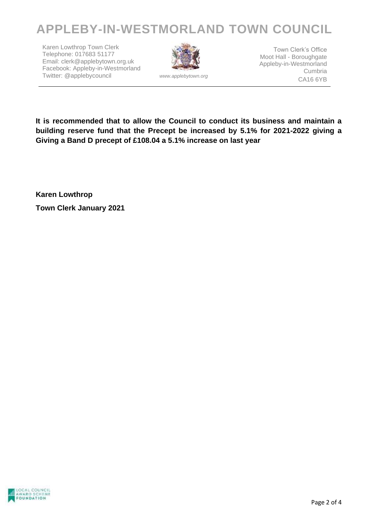# **APPLEBY-IN-WESTMORLAND TOWN COUNCIL**

Karen Lowthrop Town Clerk Telephone: 017683 51177 Email: clerk@applebytown.org.uk Facebook: Appleby-in-Westmorland Twitter: @applebycouncil *www.applebytown.org*



Town Clerk's Office Moot Hall - Boroughgate Appleby-in-Westmorland Cumbria CA16 6YB

**It is recommended that to allow the Council to conduct its business and maintain a building reserve fund that the Precept be increased by 5.1% for 2021-2022 giving a Giving a Band D precept of £108.04 a 5.1% increase on last year**

**Karen Lowthrop Town Clerk January 2021**